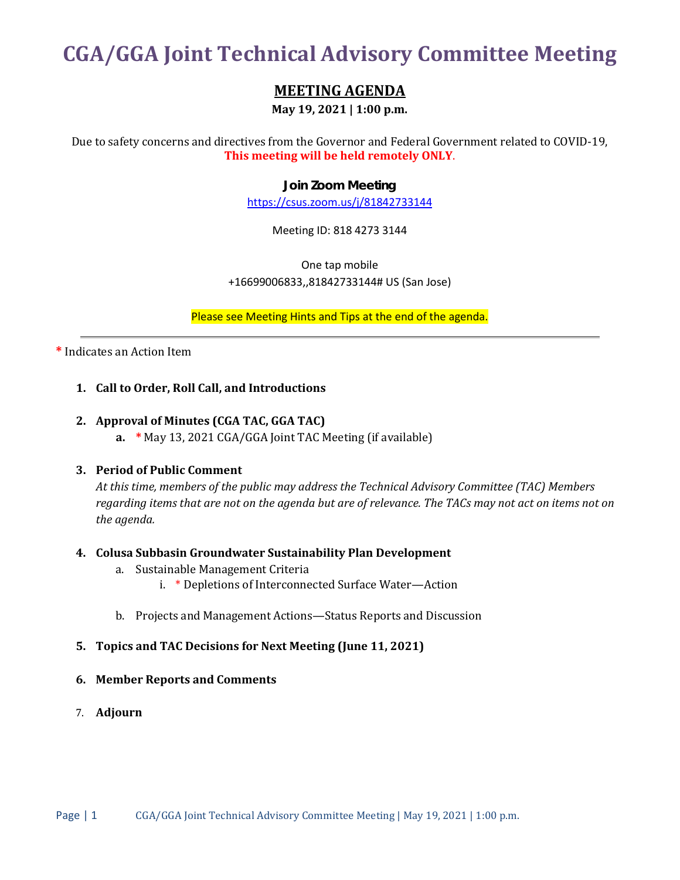# **CGA/GGA Joint Technical Advisory Committee Meeting**

## **MEETING AGENDA**

**May 19, 2021 | 1:00 p.m.**

Due to safety concerns and directives from the Governor and Federal Government related to COVID-19, **This meeting will be held remotely ONLY**.

#### **Join Zoom Meeting**

<https://csus.zoom.us/j/81842733144>

Meeting ID: 818 4273 3144

One tap mobile +16699006833,,81842733144# US (San Jose)

Please see Meeting Hints and Tips at the end of the agenda.

**\*** Indicates an Action Item

#### **1. Call to Order, Roll Call, and Introductions**

#### **2. Approval of Minutes (CGA TAC, GGA TAC)**

**a. \*** May 13, 2021 CGA/GGA Joint TAC Meeting (if available)

#### **3. Period of Public Comment**

*At this time, members of the public may address the Technical Advisory Committee (TAC) Members regarding items that are not on the agenda but are of relevance. The TACs may not act on items not on the agenda.*

#### **4. Colusa Subbasin Groundwater Sustainability Plan Development**

- a. Sustainable Management Criteria
	- i. \* Depletions of Interconnected Surface Water—Action
- b. Projects and Management Actions—Status Reports and Discussion

#### **5. Topics and TAC Decisions for Next Meeting (June 11, 2021)**

#### **6. Member Reports and Comments**

7. **Adjourn**